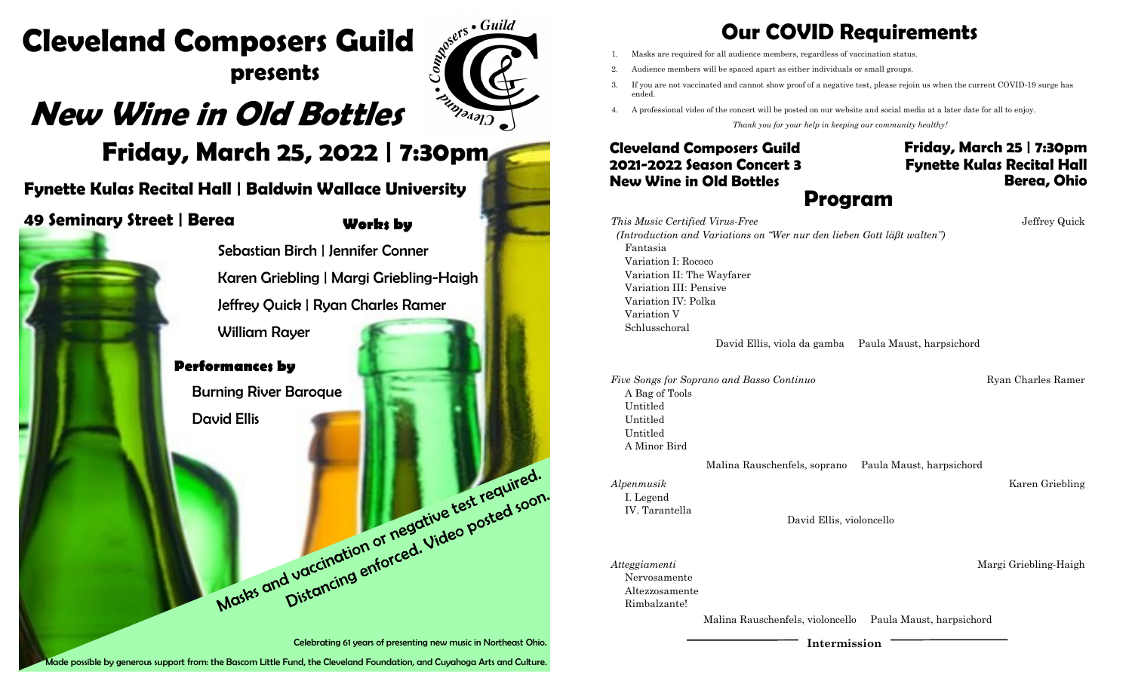

# Our COVID Requirements

- 1. Masks are required for all audience members, regardless of vaccination status.
- 2. Audience members will be spaced apart as either individuals or small groups.
- 3. If you are not vaccinated and cannot show proof of a negative test, please rejoin us when the current COVID-19 surge has ended.
- 4. A professional video of the concert will be posted on our website and social media at a later date for all to enjoy.

Thank you for your help in keeping our community healthy!

Program

## Cleveland Composers Guild 2021-2022 Season Concert 3 New Wine in Old Bottles

## Friday, March 25 | 7:30pm Fynette Kulas Recital Hall Berea, Ohio

Jeffrey Quick

This Music Certified Virus-Free (Introduction and Variations on "Wer nur den lieben Gott läßt walten") Fantasia Variation I: Rococo Variation II: The Wayfarer Variation III: Pensive Variation IV: Polka Variation V Schlusschoral

David Ellis, viola da gamba Paula Maust, harpsichord

Five Songs for Soprano and Basso Continuo A Bag of Tools Untitled Untitled Untitled A Minor Bird

Malina Rauschenfels, soprano Paula Maust, harpsichord

Alpenmusik I. Legend IV. Tarantella Karen Griebling

Ryan Charles Ramer

David Ellis, violoncello

Atteggiamenti Nervosamente Altezzosamente Rimbalzante!

Margi Griebling-Haigh

Malina Rauschenfels, violoncello Paula Maust, harpsichord

Intermission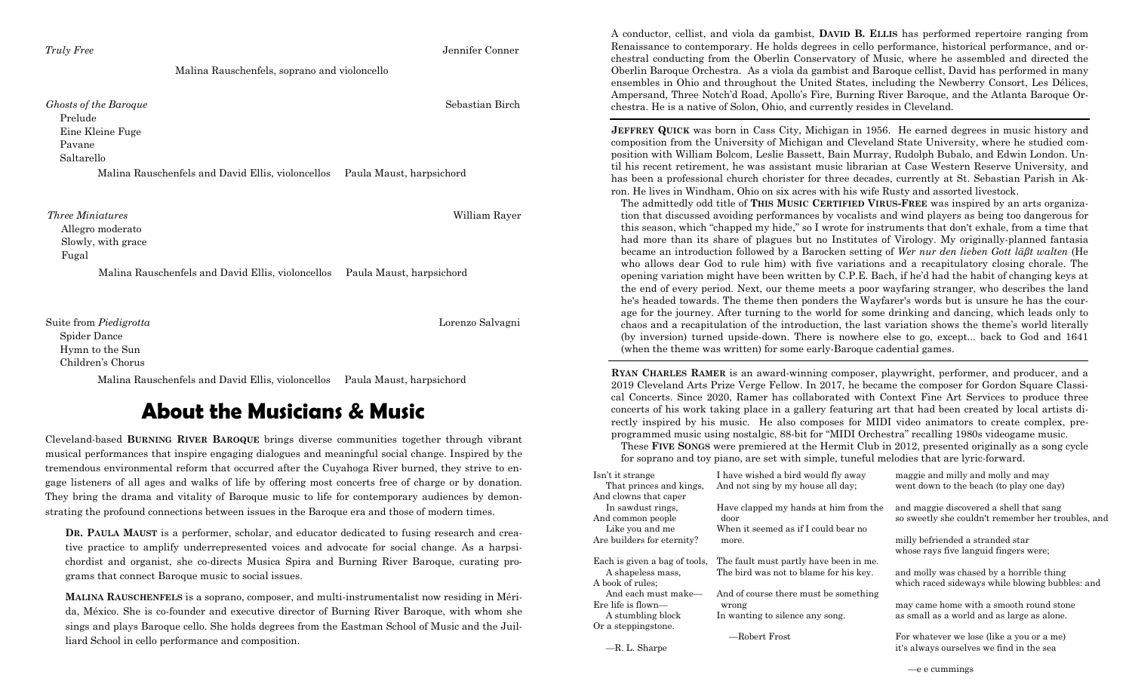Truly Free Jennifer Conner

Malina Rauschenfels, soprano and violoncello

Ghosts of the Baroque

Prelude

Eine Kleine Fuge

Pavane

Saltarello

Malina Rauschenfels and David Ellis, violoncellos Paula Maust, harpsichord

Three Miniatures

Allegro moderato

Slowly, with grace

Fugal

Malina Rauschenfels and David Ellis, violoncellos Paula Maust, harpsichord

Suite from Piedigrotta Spider Dance Hymn to the Sun Children's Chorus

Malina Rauschenfels and David Ellis, violoncellos Paula Maust, harpsichord

# About the Musicians & Music

Cleveland-based BURNING RIVER BAROQUE brings diverse communities together through vibrant musical performances that inspire engaging dialogues and meaningful social change. Inspired by the tremendous environmental reform that occurred after the Cuyahoga River burned, they strive to engage listeners of all ages and walks of life by offering most concerts free of charge or by donation. They bring the drama and vitality of Baroque music to life for contemporary audiences by demonstrating the profound connections between issues in the Baroque era and those of modern times.

DR. PAULA MAUST is a performer, scholar, and educator dedicated to fusing research and creative practice to amplify underrepresented voices and advocate for social change. As a harpsichordist and organist, she co-directs Musica Spira and Burning River Baroque, curating programs that connect Baroque music to social issues.

MALINA RAUSCHENFELS is a soprano, composer, and multi-instrumentalist now residing in Mérida, México. She is co-founder and executive director of Burning River Baroque, with whom she sings and plays Baroque cello. She holds degrees from the Eastman School of Music and the Juilliard School in cello performance and composition.

A conductor, cellist, and viola da gambist, DAVID B. ELLIS has performed repertoire ranging from Renaissance to contemporary. He holds degrees in cello performance, historical performance, and orchestral conducting from the Oberlin Conservatory of Music, where he assembled and directed the Oberlin Baroque Orchestra. As a viola da gambist and Baroque cellist, David has performed in many ensembles in Ohio and throughout the United States, including the Newberry Consort, Les Délices, Ampersand, Three Notch'd Road, Apollo's Fire, Burning River Baroque, and the Atlanta Baroque Orchestra. He is a native of Solon, Ohio, and currently resides in Cleveland.

JEFFREY QUICK was born in Cass City, Michigan in 1956. He earned degrees in music history and composition from the University of Michigan and Cleveland State University, where he studied composition with William Bolcom, Leslie Bassett, Bain Murray, Rudolph Bubalo, and Edwin London. Until his recent retirement, he was assistant music librarian at Case Western Reserve University, and has been a professional church chorister for three decades, currently at St. Sebastian Parish in Akron. He lives in Windham, Ohio on six acres with his wife Rusty and assorted livestock.

The admittedly odd title of THIS MUSIC CERTIFIED VIRUS-FREE was inspired by an arts organization that discussed avoiding performances by vocalists and wind players as being too dangerous for this season, which "chapped my hide," so I wrote for instruments that don't exhale, from a time that had more than its share of plagues but no Institutes of Virology. My originally-planned fantasia became an introduction followed by a Barocken setting of Wer nur den lieben Gott läßt walten (He who allows dear God to rule him) with five variations and a recapitulatory closing chorale. The opening variation might have been written by C.P.E. Bach, if he'd had the habit of changing keys at the end of every period. Next, our theme meets a poor wayfaring stranger, who describes the land he's headed towards. The theme then ponders the Wayfarer's words but is unsure he has the courage for the journey. After turning to the world for some drinking and dancing, which leads only to chaos and a recapitulation of the introduction, the last variation shows the theme's world literally (by inversion) turned upside-down. There is nowhere else to go, except... back to God and 1641 (when the theme was written) for some early-Baroque cadential games.

RYAN CHARLES RAMER is an award-winning composer, playwright, performer, and producer, and a 2019 Cleveland Arts Prize Verge Fellow. In 2017, he became the composer for Gordon Square Classical Concerts. Since 2020, Ramer has collaborated with Context Fine Art Services to produce three concerts of his work taking place in a gallery featuring art that had been created by local artists directly inspired by his music. He also composes for MIDI video animators to create complex, preprogrammed music using nostalgic, 88-bit for "MIDI Orchestra" recalling 1980s videogame music.

These FIVE SONGS were premiered at the Hermit Club in 2012, presented originally as a song cycle for soprano and toy piano, are set with simple, tuneful melodies that are lyric-forward.

| I have wished a bird would fly away    | maggie and milly and molly and may                 |
|----------------------------------------|----------------------------------------------------|
| And not sing by my house all day;      | went down to the beach (to play one day)           |
|                                        |                                                    |
| Have clapped my hands at him from the  | and maggie discovered a shell that sang            |
| door                                   | so sweetly she couldn't remember her troubles, and |
| When it seemed as if I could bear no   |                                                    |
| Are builders for eternity?<br>more.    | milly befriended a stranded star                   |
|                                        | whose rays five languid fingers were;              |
| The fault must partly have been in me. |                                                    |
| The bird was not to blame for his key. | and molly was chased by a horrible thing           |
|                                        | which raced sideways while blowing bubbles: and    |
| And of course there must be something  |                                                    |
| wrong                                  | may came home with a smooth round stone            |
| In wanting to silence any song.        | as small as a world and as large as alone.         |
|                                        |                                                    |
| -Robert Frost                          | For whatever we lose (like a you or a me)          |
|                                        | it's always ourselves we find in the sea           |
|                                        |                                                    |

Sebastian Birch

William Rayer

Lorenzo Salvagni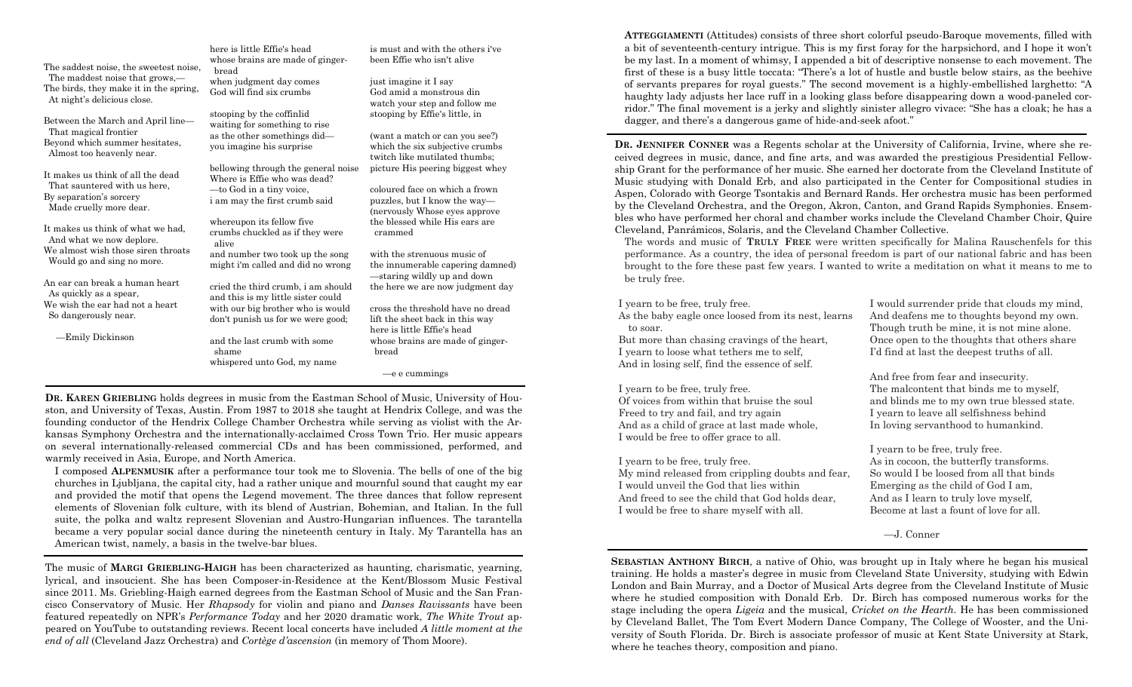The saddest noise, the sweetest noise, The maddest noise that grows — The birds, they make it in the spring, At night's delicious close.

Between the March and April line— That magical frontier Beyond which summer hesitates, Almost too heavenly near.

It makes us think of all the dead That sauntered with us here, By separation's sorcery Made cruelly more dear.

It makes us think of what we had, And what we now deplore. We almost wish those siren throats Would go and sing no more.

An ear can break a human heart As quickly as a spear, We wish the ear had not a heart So dangerously near.

—Emily Dickinson

here is little Effie's head whose brains are made of gingerbread when judgment day comes God will find six crumbs

stooping by the coffinlid waiting for something to rise as the other somethings did you imagine his surprise

bellowing through the general noise Where is Effie who was dead? —to God in a tiny voice, i am may the first crumb said

whereupon its fellow five crumbs chuckled as if they were alive and number two took up the song might i'm called and did no wrong

cried the third crumb, i am should and this is my little sister could with our big brother who is would don't punish us for we were good;

and the last crumb with some shame whispered unto God, my name is must and with the others i've been Effie who isn't alive

just imagine it I say God amid a monstrous din watch your step and follow me stooping by Effie's little, in

(want a match or can you see?) which the six subjective crumbs twitch like mutilated thumbs; picture His peering biggest whey

coloured face on which a frown puzzles, but I know the way— (nervously Whose eyes approve the blessed while His ears are crammed

with the strenuous music of the innumerable capering damned) —staring wildly up and down the here we are now judgment day

cross the threshold have no dread lift the sheet back in this way here is little Effie's head whose brains are made of gingerbread

—e e cummings

DR. KAREN GRIEBLING holds degrees in music from the Eastman School of Music, University of Houston, and University of Texas, Austin. From 1987 to 2018 she taught at Hendrix College, and was the founding conductor of the Hendrix College Chamber Orchestra while serving as violist with the Arkansas Symphony Orchestra and the internationally-acclaimed Cross Town Trio. Her music appears on several internationally-released commercial CDs and has been commissioned, performed, and warmly received in Asia, Europe, and North America.

I composed ALPENMUSIK after a performance tour took me to Slovenia. The bells of one of the big churches in Ljubljana, the capital city, had a rather unique and mournful sound that caught my ear and provided the motif that opens the Legend movement. The three dances that follow represent elements of Slovenian folk culture, with its blend of Austrian, Bohemian, and Italian. In the full suite, the polka and waltz represent Slovenian and Austro-Hungarian influences. The tarantella became a very popular social dance during the nineteenth century in Italy. My Tarantella has an American twist, namely, a basis in the twelve-bar blues.

The music of MARGI GRIEBLING-HAIGH has been characterized as haunting, charismatic, yearning, lyrical, and insoucient. She has been Composer-in-Residence at the Kent/Blossom Music Festival since 2011. Ms. Griebling-Haigh earned degrees from the Eastman School of Music and the San Francisco Conservatory of Music. Her Rhapsody for violin and piano and Danses Ravissants have been featured repeatedly on NPR's Performance Today and her 2020 dramatic work, The White Trout appeared on YouTube to outstanding reviews. Recent local concerts have included A little moment at the end of all (Cleveland Jazz Orchestra) and Cortège d'ascension (in memory of Thom Moore).

ATTEGGIAMENTI (Attitudes) consists of three short colorful pseudo-Baroque movements, filled with a bit of seventeenth-century intrigue. This is my first foray for the harpsichord, and I hope it won't be my last. In a moment of whimsy, I appended a bit of descriptive nonsense to each movement. The first of these is a busy little toccata: "There's a lot of hustle and bustle below stairs, as the beehive of servants prepares for royal guests." The second movement is a highly-embellished larghetto: "A haughty lady adjusts her lace ruff in a looking glass before disappearing down a wood-paneled corridor." The final movement is a jerky and slightly sinister allegro vivace: "She has a cloak; he has a dagger, and there's a dangerous game of hide-and-seek afoot."

DR. JENNIFER CONNER was a Regents scholar at the University of California, Irvine, where she received degrees in music, dance, and fine arts, and was awarded the prestigious Presidential Fellowship Grant for the performance of her music. She earned her doctorate from the Cleveland Institute of Music studying with Donald Erb, and also participated in the Center for Compositional studies in Aspen, Colorado with George Tsontakis and Bernard Rands. Her orchestra music has been performed by the Cleveland Orchestra, and the Oregon, Akron, Canton, and Grand Rapids Symphonies. Ensembles who have performed her choral and chamber works include the Cleveland Chamber Choir, Quire Cleveland, Panrámicos, Solaris, and the Cleveland Chamber Collective.

The words and music of TRULY FREE were written specifically for Malina Rauschenfels for this performance. As a country, the idea of personal freedom is part of our national fabric and has been brought to the fore these past few years. I wanted to write a meditation on what it means to me to be truly free.

I yearn to be free, truly free.

As the baby eagle once loosed from its nest, learns to soar.

But more than chasing cravings of the heart, I yearn to loose what tethers me to self, And in losing self, find the essence of self.

I yearn to be free, truly free. Of voices from within that bruise the soul Freed to try and fail, and try again And as a child of grace at last made whole, I would be free to offer grace to all.

I yearn to be free, truly free. My mind released from crippling doubts and fear, I would unveil the God that lies within And freed to see the child that God holds dear, I would be free to share myself with all.

I would surrender pride that clouds my mind, And deafens me to thoughts beyond my own. Though truth be mine, it is not mine alone. Once open to the thoughts that others share I'd find at last the deepest truths of all.

And free from fear and insecurity. The malcontent that binds me to myself, and blinds me to my own true blessed state. I yearn to leave all selfishness behind In loving servanthood to humankind.

I yearn to be free, truly free. As in cocoon, the butterfly transforms. So would I be loosed from all that binds Emerging as the child of God I am, And as I learn to truly love myself, Become at last a fount of love for all.

—J. Conner

SEBASTIAN ANTHONY BIRCH, a native of Ohio, was brought up in Italy where he began his musical training. He holds a master's degree in music from Cleveland State University, studying with Edwin London and Bain Murray, and a Doctor of Musical Arts degree from the Cleveland Institute of Music where he studied composition with Donald Erb. Dr. Birch has composed numerous works for the stage including the opera Ligeia and the musical, Cricket on the Hearth. He has been commissioned by Cleveland Ballet, The Tom Evert Modern Dance Company, The College of Wooster, and the University of South Florida. Dr. Birch is associate professor of music at Kent State University at Stark, where he teaches theory, composition and piano.